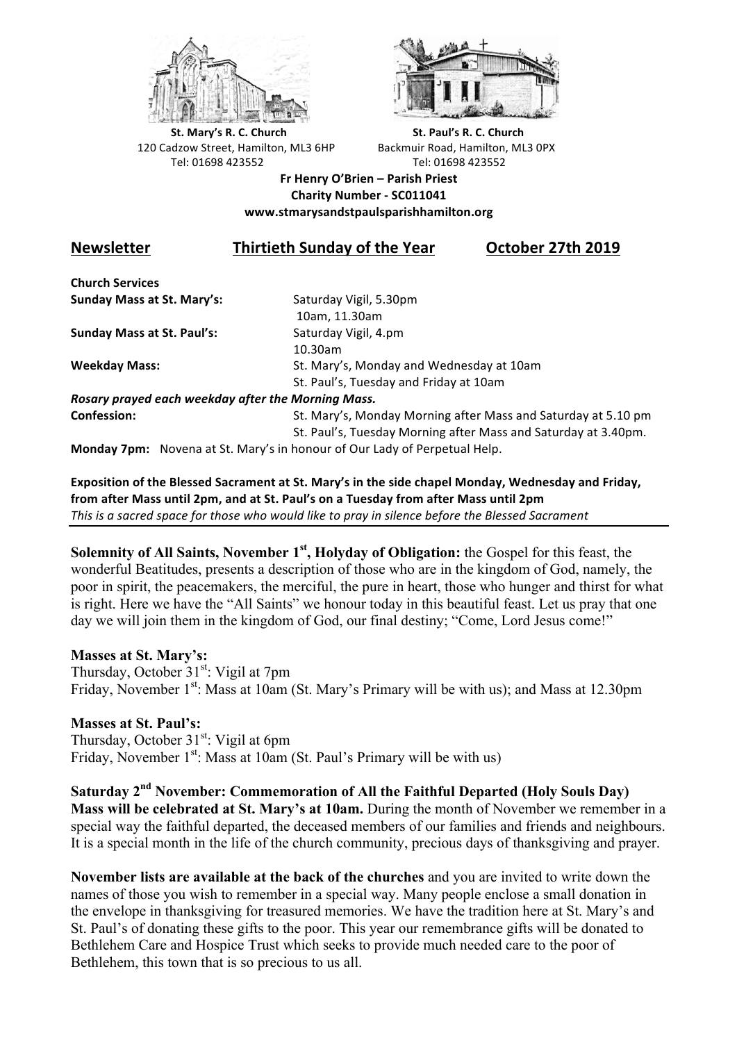



**St.** Mary's R. C. Church St. Paul's R. C. Church 120 Cadzow Street, Hamilton, ML3 6HP Backmuir Road, Hamilton, ML3 0PX Tel: 01698 423552 Tel: 01698 423552

### **Fr Henry O'Brien – Parish Priest Charity Number - SC011041 www.stmarysandstpaulsparishhamilton.org**

# **Newsletter Thirtieth Sunday of the Year October 27th 2019**

**Church Services Sunday Mass at St. Mary's:** Saturday Vigil, 5.30pm

**Sunday Mass at St. Paul's:** Saturday Vigil, 4.pm

 10am, 11.30am 10.30am **Weekday Mass:** St. Mary's, Monday and Wednesday at 10am St. Paul's, Tuesday and Friday at 10am

*Rosary prayed each weekday after the Morning Mass.* **Confession:** St. Mary's, Monday Morning after Mass and Saturday at 5.10 pm

St. Paul's, Tuesday Morning after Mass and Saturday at 3.40pm.

**Monday 7pm:** Novena at St. Mary's in honour of Our Lady of Perpetual Help.

Exposition of the Blessed Sacrament at St. Mary's in the side chapel Monday, Wednesday and Friday, from after Mass until 2pm, and at St. Paul's on a Tuesday from after Mass until 2pm This is a sacred space for those who would like to pray in silence before the Blessed Sacrament

**Solemnity of All Saints, November 1st, Holyday of Obligation:** the Gospel for this feast, the wonderful Beatitudes, presents a description of those who are in the kingdom of God, namely, the poor in spirit, the peacemakers, the merciful, the pure in heart, those who hunger and thirst for what is right. Here we have the "All Saints" we honour today in this beautiful feast. Let us pray that one day we will join them in the kingdom of God, our final destiny; "Come, Lord Jesus come!"

# **Masses at St. Mary's:**

Thursday, October  $31<sup>st</sup>$ : Vigil at 7pm Friday, November  $1<sup>st</sup>$ : Mass at 10am (St. Mary's Primary will be with us); and Mass at 12.30pm

# **Masses at St. Paul's:**

Thursday, October 31<sup>st</sup>: Vigil at 6pm Friday, November  $1<sup>st</sup>$ : Mass at 10am (St. Paul's Primary will be with us)

**Saturday 2nd November: Commemoration of All the Faithful Departed (Holy Souls Day) Mass will be celebrated at St. Mary's at 10am.** During the month of November we remember in a special way the faithful departed, the deceased members of our families and friends and neighbours. It is a special month in the life of the church community, precious days of thanksgiving and prayer.

**November lists are available at the back of the churches** and you are invited to write down the names of those you wish to remember in a special way. Many people enclose a small donation in the envelope in thanksgiving for treasured memories. We have the tradition here at St. Mary's and St. Paul's of donating these gifts to the poor. This year our remembrance gifts will be donated to Bethlehem Care and Hospice Trust which seeks to provide much needed care to the poor of Bethlehem, this town that is so precious to us all.